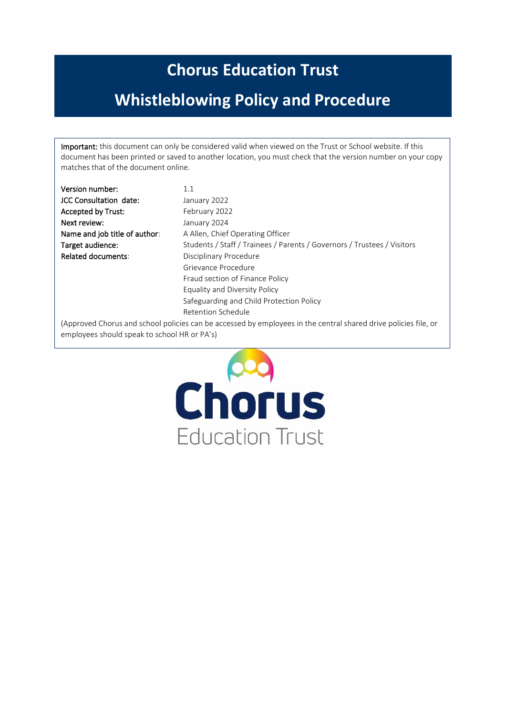# **Chorus Education Trust**

# **Whistleblowing Policy and Procedure**

Important: this document can only be considered valid when viewed on the Trust or School website. If this document has been printed or saved to another location, you must check that the version number on your copy matches that of the document online.

| $1.1\,$                                                                                                         |
|-----------------------------------------------------------------------------------------------------------------|
| January 2022                                                                                                    |
| February 2022                                                                                                   |
| January 2024                                                                                                    |
| A Allen, Chief Operating Officer                                                                                |
| Students / Staff / Trainees / Parents / Governors / Trustees / Visitors                                         |
| Disciplinary Procedure                                                                                          |
| Grievance Procedure                                                                                             |
| Fraud section of Finance Policy                                                                                 |
| Equality and Diversity Policy                                                                                   |
| Safeguarding and Child Protection Policy                                                                        |
| Retention Schedule                                                                                              |
| (Approved Chorus and school policies can be accessed by employees in the central shared drive policies file, or |
|                                                                                                                 |

employees should speak to school HR or PA's)

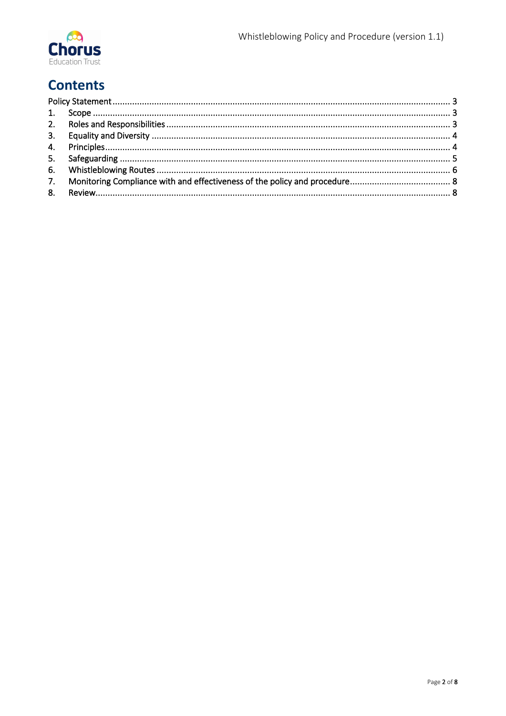

## **Contents**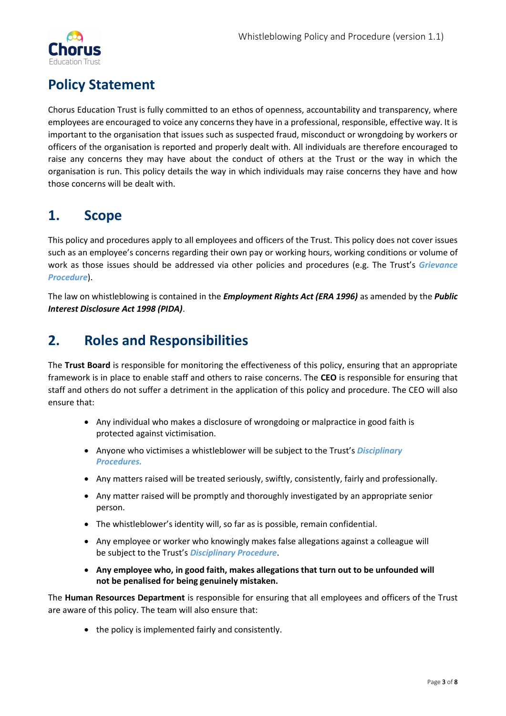

## <span id="page-2-0"></span>**Policy Statement**

Chorus Education Trust is fully committed to an ethos of openness, accountability and transparency, where employees are encouraged to voice any concerns they have in a professional, responsible, effective way. It is important to the organisation that issues such as suspected fraud, misconduct or wrongdoing by workers or officers of the organisation is reported and properly dealt with. All individuals are therefore encouraged to raise any concerns they may have about the conduct of others at the Trust or the way in which the organisation is run. This policy details the way in which individuals may raise concerns they have and how those concerns will be dealt with.

#### <span id="page-2-1"></span>**1. Scope**

This policy and procedures apply to all employees and officers of the Trust. This policy does not cover issues such as an employee's concerns regarding their own pay or working hours, working conditions or volume of work as those issues should be addressed via other policies and procedures (e.g. The Trust's *Grievance Procedure*).

The law on whistleblowing is contained in the *Employment Rights Act (ERA 1996)* as amended by the *Public Interest Disclosure Act 1998 (PIDA)*.

#### <span id="page-2-2"></span>**2. Roles and Responsibilities**

The **Trust Board** is responsible for monitoring the effectiveness of this policy, ensuring that an appropriate framework is in place to enable staff and others to raise concerns. The **CEO** is responsible for ensuring that staff and others do not suffer a detriment in the application of this policy and procedure. The CEO will also ensure that:

- Any individual who makes a disclosure of wrongdoing or malpractice in good faith is protected against victimisation.
- Anyone who victimises a whistleblower will be subject to the Trust's *Disciplinary Procedures.*
- Any matters raised will be treated seriously, swiftly, consistently, fairly and professionally.
- Any matter raised will be promptly and thoroughly investigated by an appropriate senior person.
- The whistleblower's identity will, so far as is possible, remain confidential.
- Any employee or worker who knowingly makes false allegations against a colleague will be subject to the Trust's *Disciplinary Procedure*.
- **Any employee who, in good faith, makes allegations that turn out to be unfounded will not be penalised for being genuinely mistaken.**

The **Human Resources Department** is responsible for ensuring that all employees and officers of the Trust are aware of this policy. The team will also ensure that:

• the policy is implemented fairly and consistently.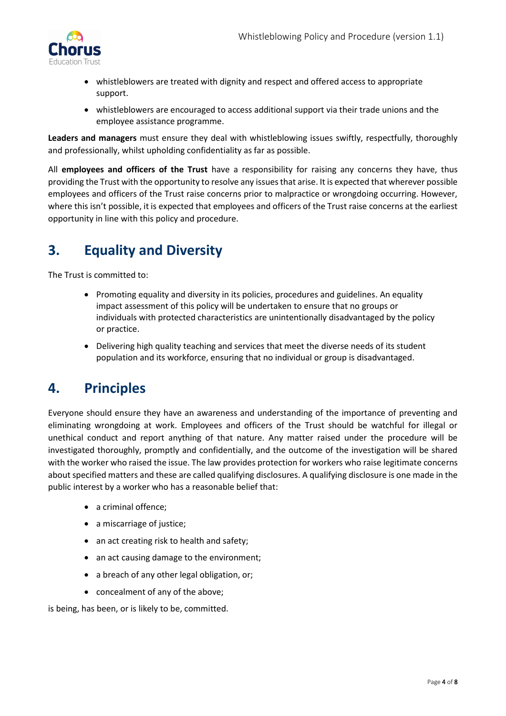

- whistleblowers are treated with dignity and respect and offered access to appropriate support.
- whistleblowers are encouraged to access additional support via their trade unions and the employee assistance programme.

**Leaders and managers** must ensure they deal with whistleblowing issues swiftly, respectfully, thoroughly and professionally, whilst upholding confidentiality as far as possible.

All **employees and officers of the Trust** have a responsibility for raising any concerns they have, thus providing the Trust with the opportunity to resolve any issues that arise. It is expected that wherever possible employees and officers of the Trust raise concerns prior to malpractice or wrongdoing occurring. However, where this isn't possible, it is expected that employees and officers of the Trust raise concerns at the earliest opportunity in line with this policy and procedure.

### <span id="page-3-0"></span>**3. Equality and Diversity**

The Trust is committed to:

- Promoting equality and diversity in its policies, procedures and guidelines. An equality impact assessment of this policy will be undertaken to ensure that no groups or individuals with protected characteristics are unintentionally disadvantaged by the policy or practice.
- Delivering high quality teaching and services that meet the diverse needs of its student population and its workforce, ensuring that no individual or group is disadvantaged.

#### <span id="page-3-1"></span>**4. Principles**

Everyone should ensure they have an awareness and understanding of the importance of preventing and eliminating wrongdoing at work. Employees and officers of the Trust should be watchful for illegal or unethical conduct and report anything of that nature. Any matter raised under the procedure will be investigated thoroughly, promptly and confidentially, and the outcome of the investigation will be shared with the worker who raised the issue. The law provides protection for workers who raise legitimate concerns about specified matters and these are called qualifying disclosures. A qualifying disclosure is one made in the public interest by a worker who has a reasonable belief that:

- a criminal offence;
- a miscarriage of justice;
- an act creating risk to health and safety;
- an act causing damage to the environment;
- a breach of any other legal obligation, or;
- concealment of any of the above;

is being, has been, or is likely to be, committed.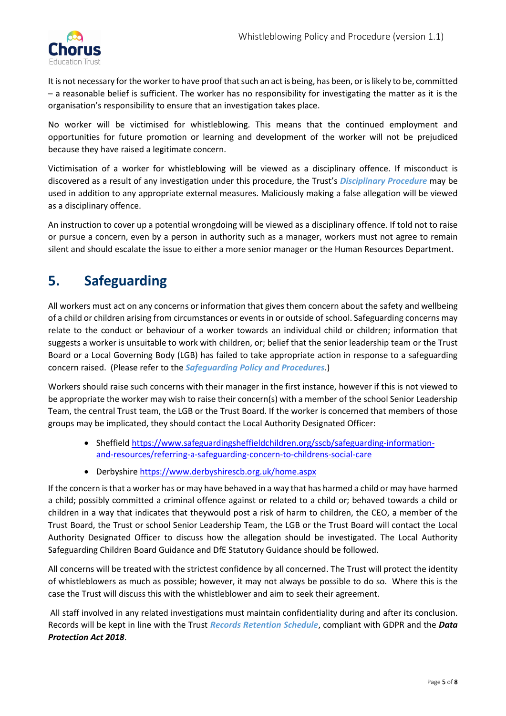

It is not necessary for the worker to have proof that such an act is being, has been, or is likely to be, committed – a reasonable belief is sufficient. The worker has no responsibility for investigating the matter as it is the organisation's responsibility to ensure that an investigation takes place.

No worker will be victimised for whistleblowing. This means that the continued employment and opportunities for future promotion or learning and development of the worker will not be prejudiced because they have raised a legitimate concern.

Victimisation of a worker for whistleblowing will be viewed as a disciplinary offence. If misconduct is discovered as a result of any investigation under this procedure, the Trust's *Disciplinary Procedure* may be used in addition to any appropriate external measures. Maliciously making a false allegation will be viewed as a disciplinary offence.

An instruction to cover up a potential wrongdoing will be viewed as a disciplinary offence. If told not to raise or pursue a concern, even by a person in authority such as a manager, workers must not agree to remain silent and should escalate the issue to either a more senior manager or the Human Resources Department.

### <span id="page-4-0"></span>**5. Safeguarding**

All workers must act on any concerns or information that gives them concern about the safety and wellbeing of a child or children arising from circumstances or events in or outside of school. Safeguarding concerns may relate to the conduct or behaviour of a worker towards an individual child or children; information that suggests a worker is unsuitable to work with children, or; belief that the senior leadership team or the Trust Board or a Local Governing Body (LGB) has failed to take appropriate action in response to a safeguarding concern raised. (Please refer to the *Safeguarding Policy and Procedures*.)

Workers should raise such concerns with their manager in the first instance, however if this is not viewed to be appropriate the worker may wish to raise their concern(s) with a member of the school Senior Leadership Team, the central Trust team, the LGB or the Trust Board. If the worker is concerned that members of those groups may be implicated, they should contact the Local Authority Designated Officer:

- Sheffield [https://www.safeguardingsheffieldchildren.org/sscb/safeguarding-information](https://www.safeguardingsheffieldchildren.org/sscb/safeguarding-information-and-resources/referring-a-safeguarding-concern-to-childrens-social-care)[and-resources/referring-a-safeguarding-concern-to-childrens-social-care](https://www.safeguardingsheffieldchildren.org/sscb/safeguarding-information-and-resources/referring-a-safeguarding-concern-to-childrens-social-care)
- Derbyshir[e https://www.derbyshirescb.org.uk/home.aspx](https://www.derbyshirescb.org.uk/home.aspx)

If the concern is that a worker has or may have behaved in a way that has harmed a child or may have harmed a child; possibly committed a criminal offence against or related to a child or; behaved towards a child or children in a way that indicates that theywould post a risk of harm to children, the CEO, a member of the Trust Board, the Trust or school Senior Leadership Team, the LGB or the Trust Board will contact the Local Authority Designated Officer to discuss how the allegation should be investigated. The Local Authority Safeguarding Children Board Guidance and DfE Statutory Guidance should be followed.

All concerns will be treated with the strictest confidence by all concerned. The Trust will protect the identity of whistleblowers as much as possible; however, it may not always be possible to do so. Where this is the case the Trust will discuss this with the whistleblower and aim to seek their agreement.

All staff involved in any related investigations must maintain confidentiality during and after its conclusion. Records will be kept in line with the Trust *Records Retention Schedule*, compliant with GDPR and the *Data Protection Act 2018*.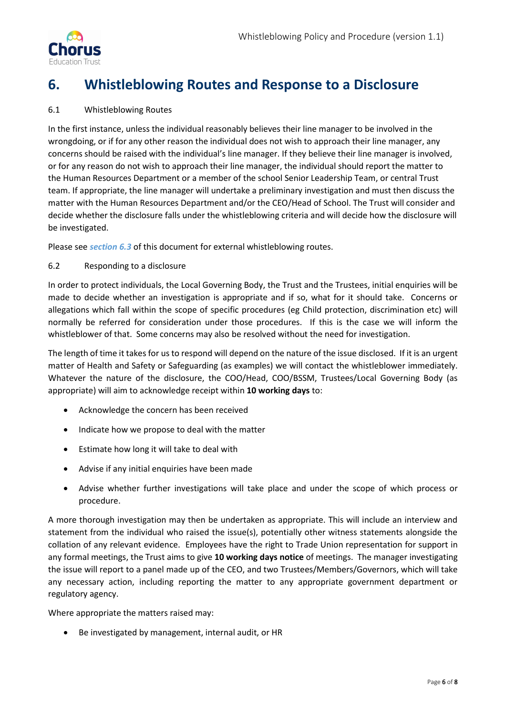

## <span id="page-5-0"></span>**6. Whistleblowing Routes and Response to a Disclosure**

#### 6.1 Whistleblowing Routes

In the first instance, unless the individual reasonably believes their line manager to be involved in the wrongdoing, or if for any other reason the individual does not wish to approach their line manager, any concerns should be raised with the individual's line manager. If they believe their line manager is involved, or for any reason do not wish to approach their line manager, the individual should report the matter to the Human Resources Department or a member of the school Senior Leadership Team, or central Trust team. If appropriate, the line manager will undertake a preliminary investigation and must then discuss the matter with the Human Resources Department and/or the CEO/Head of School. The Trust will consider and decide whether the disclosure falls under the whistleblowing criteria and will decide how the disclosure will be investigated.

Please see *section 6.3* of this document for external whistleblowing routes.

#### 6.2 Responding to a disclosure

In order to protect individuals, the Local Governing Body, the Trust and the Trustees, initial enquiries will be made to decide whether an investigation is appropriate and if so, what for it should take. Concerns or allegations which fall within the scope of specific procedures (eg Child protection, discrimination etc) will normally be referred for consideration under those procedures. If this is the case we will inform the whistleblower of that. Some concerns may also be resolved without the need for investigation.

The length of time it takes for us to respond will depend on the nature of the issue disclosed. If it is an urgent matter of Health and Safety or Safeguarding (as examples) we will contact the whistleblower immediately. Whatever the nature of the disclosure, the COO/Head, COO/BSSM, Trustees/Local Governing Body (as appropriate) will aim to acknowledge receipt within **10 working days** to:

- Acknowledge the concern has been received
- Indicate how we propose to deal with the matter
- Estimate how long it will take to deal with
- Advise if any initial enquiries have been made
- Advise whether further investigations will take place and under the scope of which process or procedure.

A more thorough investigation may then be undertaken as appropriate. This will include an interview and statement from the individual who raised the issue(s), potentially other witness statements alongside the collation of any relevant evidence. Employees have the right to Trade Union representation for support in any formal meetings, the Trust aims to give **10 working days notice** of meetings. The manager investigating the issue will report to a panel made up of the CEO, and two Trustees/Members/Governors, which will take any necessary action, including reporting the matter to any appropriate government department or regulatory agency.

Where appropriate the matters raised may:

• Be investigated by management, internal audit, or HR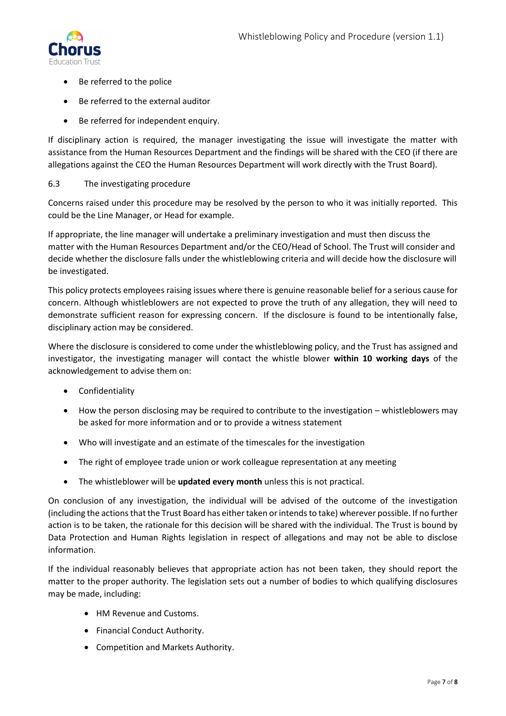

- Be referred to the police
- Be referred to the external auditor
- Be referred for independent enquiry.

If disciplinary action is required, the manager investigating the issue will investigate the matter with assistance from the Human Resources Department and the findings will be shared with the CEO (if there are allegations against the CEO the Human Resources Department will work directly with the Trust Board).

#### 6.3 The investigating procedure

Concerns raised under this procedure may be resolved by the person to who it was initially reported. This could be the Line Manager, or Head for example.

If appropriate, the line manager will undertake a preliminary investigation and must then discuss the matter with the Human Resources Department and/or the CEO/Head of School. The Trust will consider and decide whether the disclosure falls under the whistleblowing criteria and will decide how the disclosure will be investigated.

This policy protects employees raising issues where there is genuine reasonable belief for a serious cause for concern. Although whistleblowers are not expected to prove the truth of any allegation, they will need to demonstrate sufficient reason for expressing concern. If the disclosure is found to be intentionally false, disciplinary action may be considered.

Where the disclosure is considered to come under the whistleblowing policy, and the Trust has assigned and investigator, the investigating manager will contact the whistle blower **within 10 working days** of the acknowledgement to advise them on:

- Confidentiality
- How the person disclosing may be required to contribute to the investigation whistleblowers may be asked for more information and or to provide a witness statement
- Who will investigate and an estimate of the timescales for the investigation
- The right of employee trade union or work colleague representation at any meeting
- The whistleblower will be **updated every month** unless this is not practical.

On conclusion of any investigation, the individual will be advised of the outcome of the investigation (including the actions that the Trust Board has either taken or intends to take) wherever possible. If no further action is to be taken, the rationale for this decision will be shared with the individual. The Trust is bound by Data Protection and Human Rights legislation in respect of allegations and may not be able to disclose information.

If the individual reasonably believes that appropriate action has not been taken, they should report the matter to the proper authority. The legislation sets out a number of bodies to which qualifying disclosures may be made, including:

- HM Revenue and Customs.
- Financial Conduct Authority.
- Competition and Markets Authority.